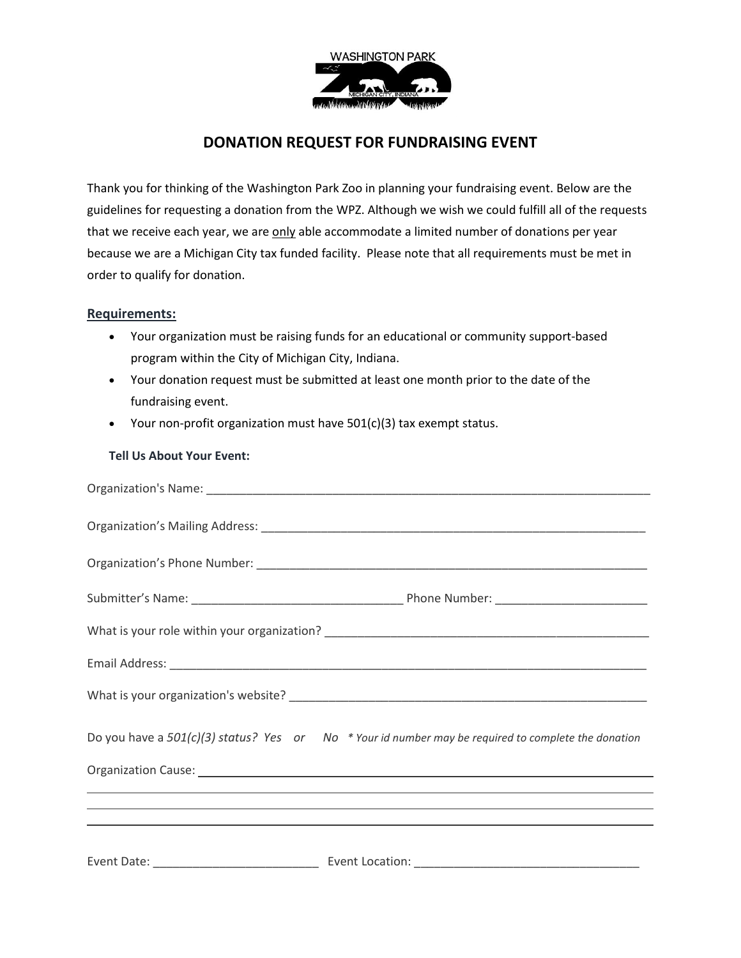

## **DONATION REQUEST FOR FUNDRAISING EVENT**

Thank you for thinking of the Washington Park Zoo in planning your fundraising event. Below are the guidelines for requesting a donation from the WPZ. Although we wish we could fulfill all of the requests that we receive each year, we are only able accommodate a limited number of donations per year because we are a Michigan City tax funded facility. Please note that all requirements must be met in order to qualify for donation.

## **Requirements:**

- Your organization must be raising funds for an educational or community support-based program within the City of Michigan City, Indiana.
- Your donation request must be submitted at least one month prior to the date of the fundraising event.
- Your non-profit organization must have 501(c)(3) tax exempt status.

## **Tell Us About Your Event:**

| Do you have a $501(c)(3)$ status? Yes or No * Your id number may be required to complete the donation                                                                                                                          |
|--------------------------------------------------------------------------------------------------------------------------------------------------------------------------------------------------------------------------------|
| Organization Cause: 1988 Cause Contract Contract Contract Contract Contract Contract Contract Contract Contract Contract Contract Contract Contract Contract Contract Contract Contract Contract Contract Contract Contract Co |
| ,我们也不会有什么。""我们的人,我们也不会有什么?""我们的人,我们也不会有什么?""我们的人,我们也不会有什么?""我们的人,我们也不会有什么?""我们的人                                                                                                                                               |
|                                                                                                                                                                                                                                |
|                                                                                                                                                                                                                                |